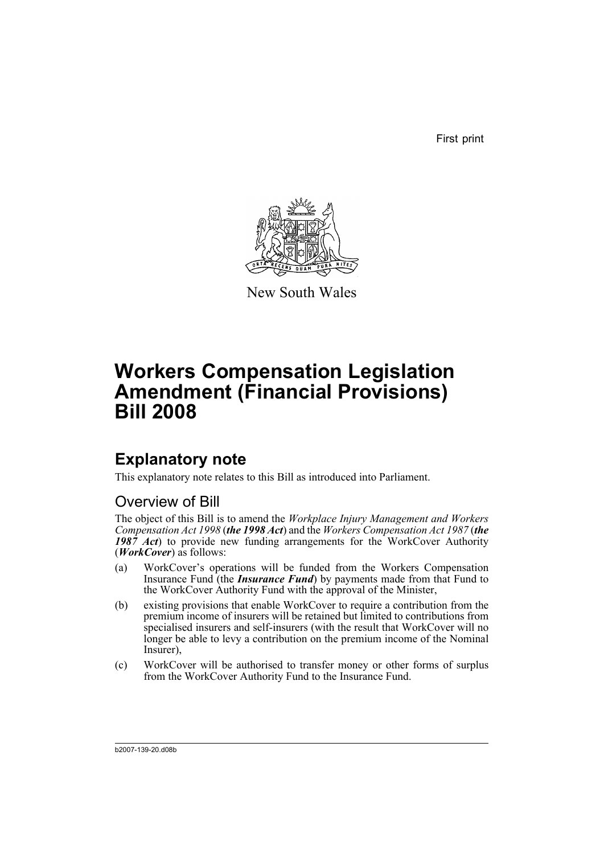First print



New South Wales

# **Workers Compensation Legislation Amendment (Financial Provisions) Bill 2008**

## **Explanatory note**

This explanatory note relates to this Bill as introduced into Parliament.

## Overview of Bill

The object of this Bill is to amend the *Workplace Injury Management and Workers Compensation Act 1998* (*the 1998 Act*) and the *Workers Compensation Act 1987* (*the 1987 Act*) to provide new funding arrangements for the WorkCover Authority (*WorkCover*) as follows:

- (a) WorkCover's operations will be funded from the Workers Compensation Insurance Fund (the *Insurance Fund*) by payments made from that Fund to the WorkCover Authority Fund with the approval of the Minister,
- (b) existing provisions that enable WorkCover to require a contribution from the premium income of insurers will be retained but limited to contributions from specialised insurers and self-insurers (with the result that WorkCover will no longer be able to levy a contribution on the premium income of the Nominal Insurer),
- (c) WorkCover will be authorised to transfer money or other forms of surplus from the WorkCover Authority Fund to the Insurance Fund.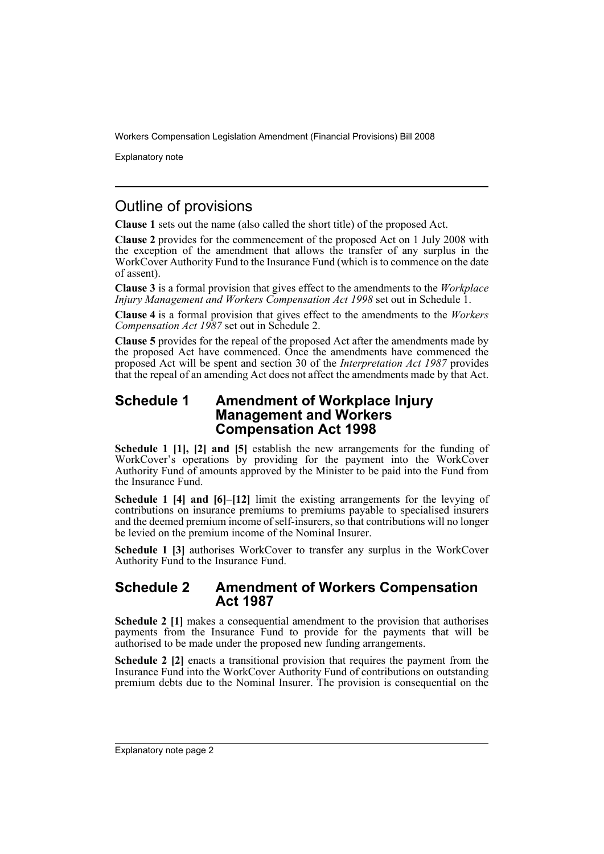Explanatory note

## Outline of provisions

**Clause 1** sets out the name (also called the short title) of the proposed Act.

**Clause 2** provides for the commencement of the proposed Act on 1 July 2008 with the exception of the amendment that allows the transfer of any surplus in the WorkCover Authority Fund to the Insurance Fund (which is to commence on the date of assent).

**Clause 3** is a formal provision that gives effect to the amendments to the *Workplace Injury Management and Workers Compensation Act 1998* set out in Schedule 1.

**Clause 4** is a formal provision that gives effect to the amendments to the *Workers Compensation Act 1987* set out in Schedule 2.

**Clause 5** provides for the repeal of the proposed Act after the amendments made by the proposed Act have commenced. Once the amendments have commenced the proposed Act will be spent and section 30 of the *Interpretation Act 1987* provides that the repeal of an amending Act does not affect the amendments made by that Act.

### **Schedule 1 Amendment of Workplace Injury Management and Workers Compensation Act 1998**

**Schedule 1 [1], [2] and [5]** establish the new arrangements for the funding of WorkCover's operations by providing for the payment into the WorkCover Authority Fund of amounts approved by the Minister to be paid into the Fund from the Insurance Fund.

**Schedule 1 [4] and [6]–[12]** limit the existing arrangements for the levying of contributions on insurance premiums to premiums payable to specialised insurers and the deemed premium income of self-insurers, so that contributions will no longer be levied on the premium income of the Nominal Insurer.

**Schedule 1 [3]** authorises WorkCover to transfer any surplus in the WorkCover Authority Fund to the Insurance Fund.

### **Schedule 2 Amendment of Workers Compensation Act 1987**

**Schedule 2 [1]** makes a consequential amendment to the provision that authorises payments from the Insurance Fund to provide for the payments that will be authorised to be made under the proposed new funding arrangements.

**Schedule 2 [2]** enacts a transitional provision that requires the payment from the Insurance Fund into the WorkCover Authority Fund of contributions on outstanding premium debts due to the Nominal Insurer. The provision is consequential on the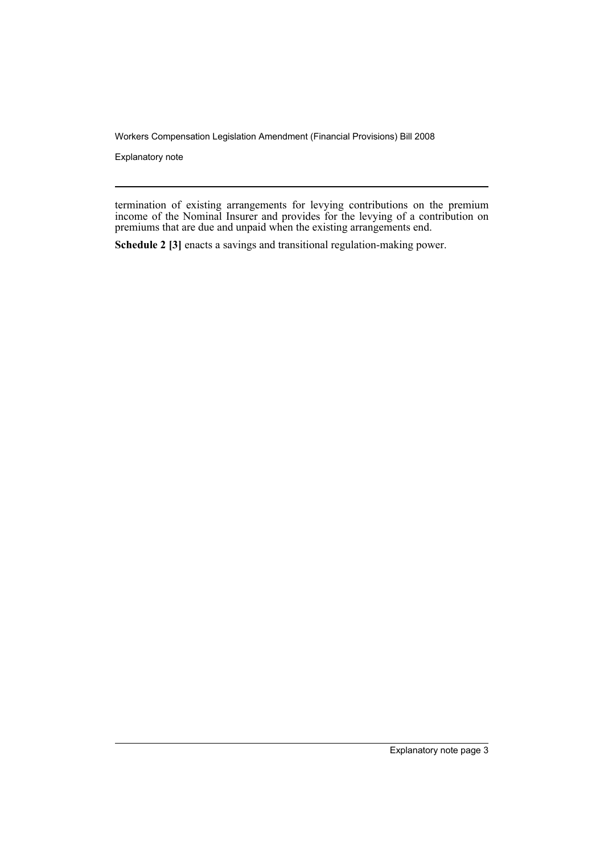Explanatory note

termination of existing arrangements for levying contributions on the premium income of the Nominal Insurer and provides for the levying of a contribution on premiums that are due and unpaid when the existing arrangements end.

**Schedule 2 [3]** enacts a savings and transitional regulation-making power.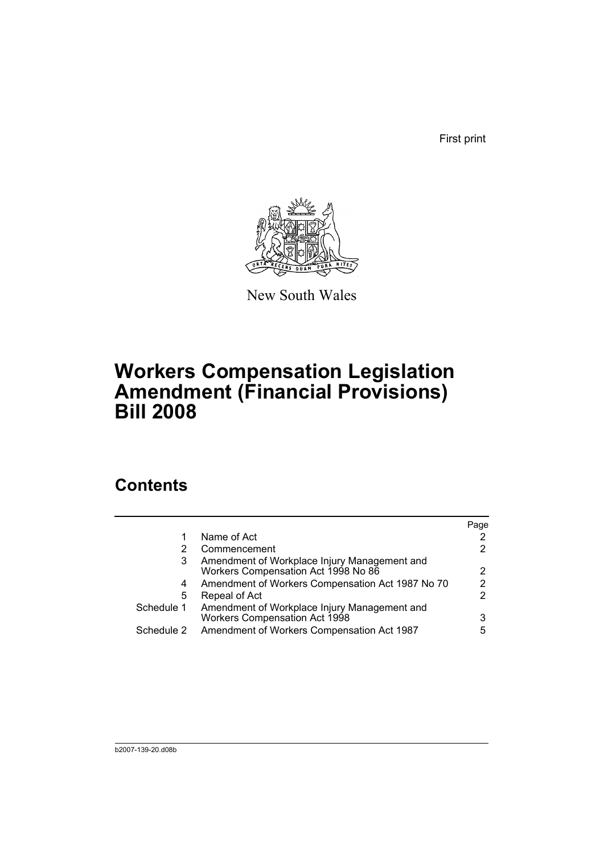First print



New South Wales

# **Workers Compensation Legislation Amendment (Financial Provisions) Bill 2008**

## **Contents**

|            |                                                                                     | Page |
|------------|-------------------------------------------------------------------------------------|------|
| 1          | Name of Act                                                                         |      |
| 2          | Commencement                                                                        | 2    |
| 3          | Amendment of Workplace Injury Management and<br>Workers Compensation Act 1998 No 86 | 2    |
| 4          | Amendment of Workers Compensation Act 1987 No 70                                    | 2    |
| 5          | Repeal of Act                                                                       | 2    |
| Schedule 1 | Amendment of Workplace Injury Management and<br>Workers Compensation Act 1998       | 3    |
| Schedule 2 | Amendment of Workers Compensation Act 1987                                          | 5    |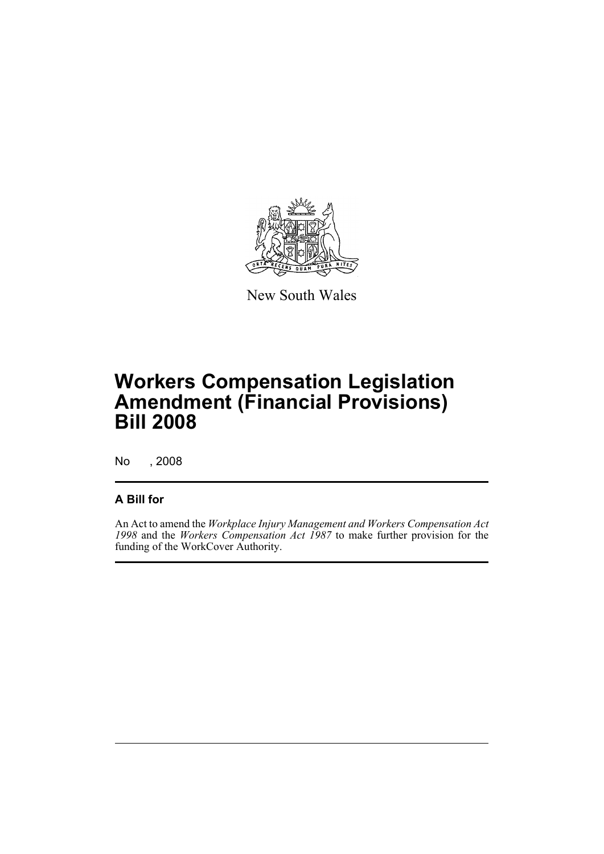

New South Wales

# **Workers Compensation Legislation Amendment (Financial Provisions) Bill 2008**

No , 2008

## **A Bill for**

An Act to amend the *Workplace Injury Management and Workers Compensation Act 1998* and the *Workers Compensation Act 1987* to make further provision for the funding of the WorkCover Authority.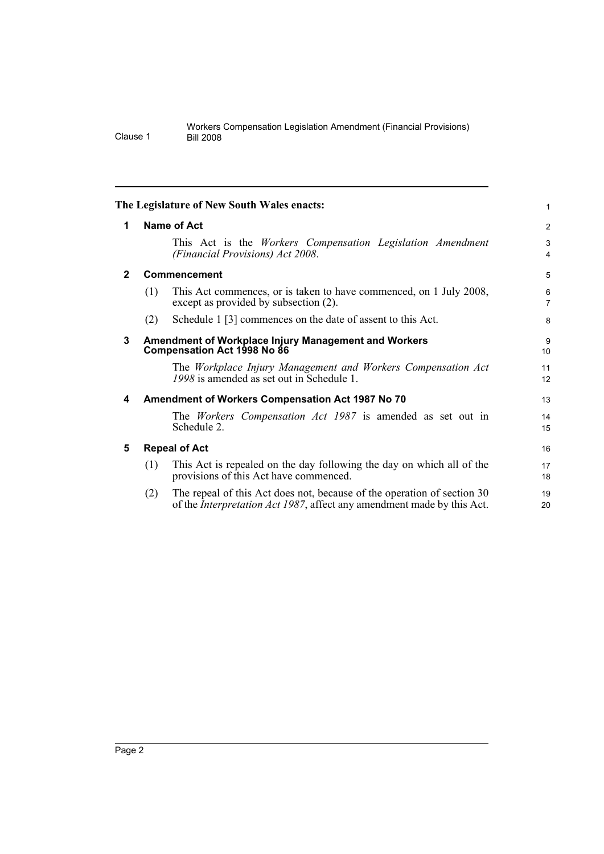<span id="page-7-4"></span><span id="page-7-3"></span><span id="page-7-2"></span><span id="page-7-1"></span><span id="page-7-0"></span>

| The Legislature of New South Wales enacts:<br>1                                          |                                                                                                                                                           |                                     |  |  |  |  |  |
|------------------------------------------------------------------------------------------|-----------------------------------------------------------------------------------------------------------------------------------------------------------|-------------------------------------|--|--|--|--|--|
|                                                                                          |                                                                                                                                                           |                                     |  |  |  |  |  |
|                                                                                          | This Act is the <i>Workers</i> Compensation Legislation Amendment<br>(Financial Provisions) Act 2008.                                                     | 3<br>4                              |  |  |  |  |  |
| $\mathbf{2}$<br>Commencement                                                             |                                                                                                                                                           |                                     |  |  |  |  |  |
| (1)                                                                                      | This Act commences, or is taken to have commenced, on 1 July 2008,<br>except as provided by subsection (2).                                               | 6<br>7                              |  |  |  |  |  |
| (2)                                                                                      | Schedule 1 [3] commences on the date of assent to this Act.                                                                                               | 8                                   |  |  |  |  |  |
| 3<br>Amendment of Workplace Injury Management and Workers<br>Compensation Act 1998 No 86 |                                                                                                                                                           |                                     |  |  |  |  |  |
|                                                                                          | The Workplace Injury Management and Workers Compensation Act<br>1998 is amended as set out in Schedule 1.                                                 | 11<br>12                            |  |  |  |  |  |
| Amendment of Workers Compensation Act 1987 No 70<br>4                                    |                                                                                                                                                           |                                     |  |  |  |  |  |
|                                                                                          | The <i>Workers</i> Compensation Act 1987 is amended as set out in<br>Schedule 2.                                                                          | 14<br>15                            |  |  |  |  |  |
|                                                                                          |                                                                                                                                                           | 16                                  |  |  |  |  |  |
| (1)                                                                                      | This Act is repealed on the day following the day on which all of the<br>provisions of this Act have commenced.                                           | 17<br>18                            |  |  |  |  |  |
| (2)                                                                                      | The repeal of this Act does not, because of the operation of section 30<br>of the <i>Interpretation Act 1987</i> , affect any amendment made by this Act. | 19<br>20                            |  |  |  |  |  |
|                                                                                          |                                                                                                                                                           | Name of Act<br><b>Repeal of Act</b> |  |  |  |  |  |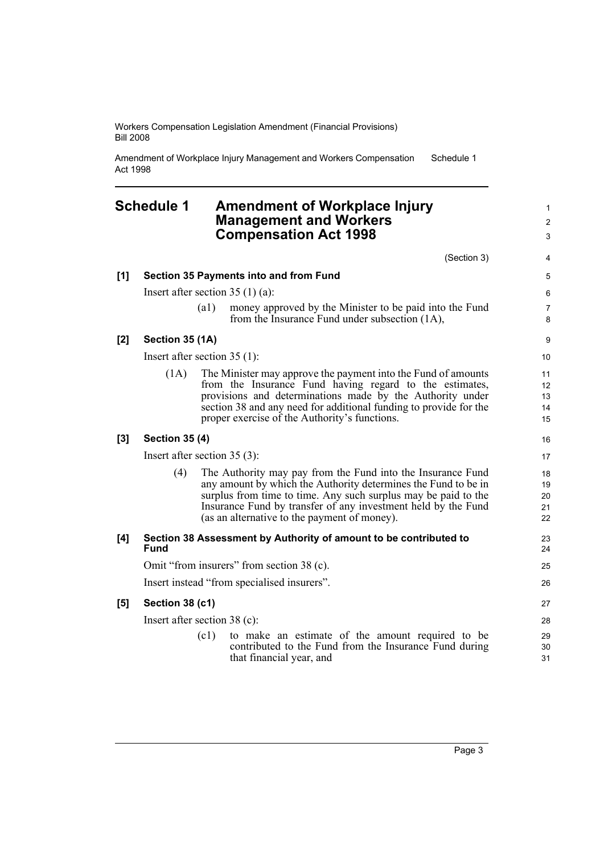Amendment of Workplace Injury Management and Workers Compensation Act 1998 Schedule 1

## <span id="page-8-0"></span>**Schedule 1 Amendment of Workplace Injury Management and Workers Compensation Act 1998**

|     |                                               |                    | (Section 3)                                                                                                                                                                                                                                                                                                      | 4                          |  |
|-----|-----------------------------------------------|--------------------|------------------------------------------------------------------------------------------------------------------------------------------------------------------------------------------------------------------------------------------------------------------------------------------------------------------|----------------------------|--|
| [1] | <b>Section 35 Payments into and from Fund</b> |                    |                                                                                                                                                                                                                                                                                                                  |                            |  |
|     | Insert after section $35(1)(a)$ :             |                    |                                                                                                                                                                                                                                                                                                                  |                            |  |
|     |                                               | $\left( a1\right)$ | money approved by the Minister to be paid into the Fund<br>from the Insurance Fund under subsection (1A),                                                                                                                                                                                                        | $\overline{7}$<br>8        |  |
| [2] | Section 35 (1A)                               |                    |                                                                                                                                                                                                                                                                                                                  |                            |  |
|     | Insert after section $35(1)$ :                |                    |                                                                                                                                                                                                                                                                                                                  |                            |  |
|     | (1A)                                          |                    | The Minister may approve the payment into the Fund of amounts<br>from the Insurance Fund having regard to the estimates,<br>provisions and determinations made by the Authority under<br>section 38 and any need for additional funding to provide for the<br>proper exercise of the Authority's functions.      | 11<br>12<br>13<br>14<br>15 |  |
| [3] | <b>Section 35 (4)</b>                         |                    |                                                                                                                                                                                                                                                                                                                  |                            |  |
|     | Insert after section $35(3)$ :                |                    |                                                                                                                                                                                                                                                                                                                  |                            |  |
|     | (4)                                           |                    | The Authority may pay from the Fund into the Insurance Fund<br>any amount by which the Authority determines the Fund to be in<br>surplus from time to time. Any such surplus may be paid to the<br>Insurance Fund by transfer of any investment held by the Fund<br>(as an alternative to the payment of money). | 18<br>19<br>20<br>21<br>22 |  |
| [4] | <b>Fund</b>                                   |                    | Section 38 Assessment by Authority of amount to be contributed to                                                                                                                                                                                                                                                | 23<br>24                   |  |
|     | Omit "from insurers" from section 38 (c).     |                    |                                                                                                                                                                                                                                                                                                                  |                            |  |
|     | Insert instead "from specialised insurers".   |                    |                                                                                                                                                                                                                                                                                                                  |                            |  |
| [5] | Section 38 (c1)                               |                    |                                                                                                                                                                                                                                                                                                                  | 27                         |  |
|     | Insert after section $38$ (c):                |                    |                                                                                                                                                                                                                                                                                                                  |                            |  |
|     |                                               | (c1)               | to make an estimate of the amount required to be<br>contributed to the Fund from the Insurance Fund during<br>that financial year, and                                                                                                                                                                           | 29<br>30<br>31             |  |

1 2 3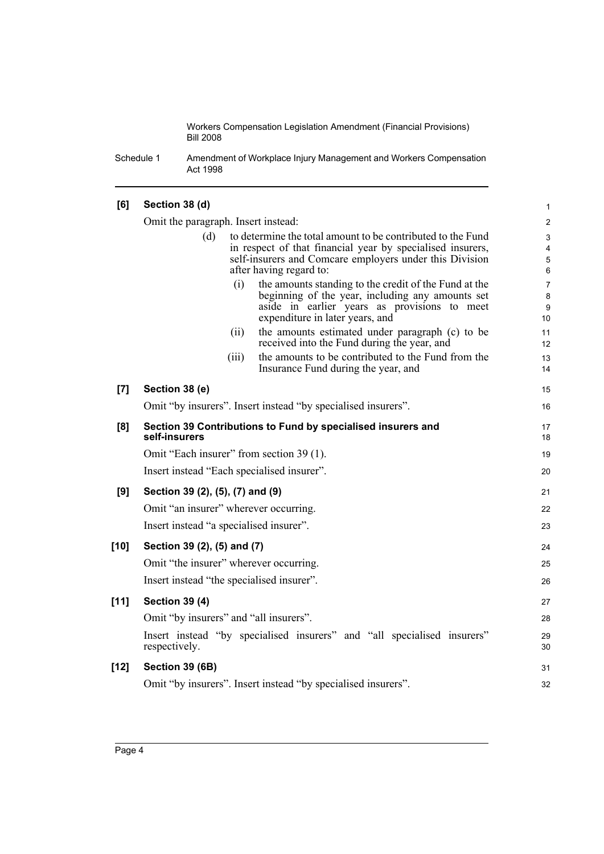Schedule 1 Amendment of Workplace Injury Management and Workers Compensation Act 1998

#### **[6] Section 38 (d)** Omit the paragraph. Insert instead: (d) to determine the total amount to be contributed to the Fund in respect of that financial year by specialised insurers, self-insurers and Comcare employers under this Division after having regard to: (i) the amounts standing to the credit of the Fund at the beginning of the year, including any amounts set aside in earlier years as provisions to meet expenditure in later years, and (ii) the amounts estimated under paragraph (c) to be received into the Fund during the year, and (iii) the amounts to be contributed to the Fund from the Insurance Fund during the year, and **[7] Section 38 (e)** Omit "by insurers". Insert instead "by specialised insurers". **[8] Section 39 Contributions to Fund by specialised insurers and self-insurers** Omit "Each insurer" from section 39 (1). Insert instead "Each specialised insurer". **[9] Section 39 (2), (5), (7) and (9)** Omit "an insurer" wherever occurring. Insert instead "a specialised insurer". **[10] Section 39 (2), (5) and (7)** Omit "the insurer" wherever occurring. Insert instead "the specialised insurer". **[11] Section 39 (4)** Omit "by insurers" and "all insurers". Insert instead "by specialised insurers" and "all specialised insurers" respectively. **[12] Section 39 (6B)** Omit "by insurers". Insert instead "by specialised insurers". 1 2 3 4 5 6 7 8 9 10 11 12 13 14 15 16 17 18 19 20 21 22 23 24 25 26 27 28 29 30 31 32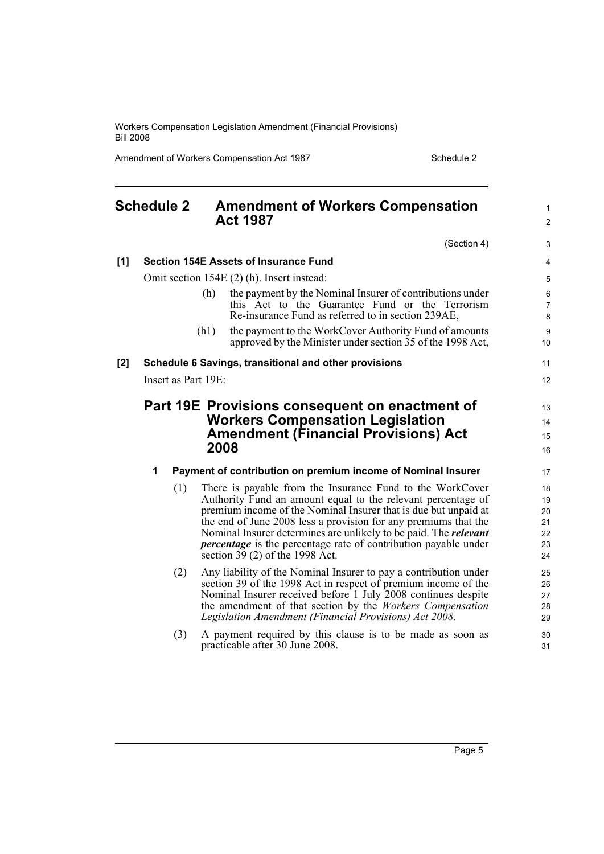Amendment of Workers Compensation Act 1987 Schedule 2

<span id="page-10-0"></span>

| <b>Schedule 2</b> |                                                       | <b>Amendment of Workers Compensation</b><br><b>Act 1987</b> |                                                                                                                                                                                                                                                                                                                                                                                                                                                          | 1<br>$\overline{c}$                    |  |
|-------------------|-------------------------------------------------------|-------------------------------------------------------------|----------------------------------------------------------------------------------------------------------------------------------------------------------------------------------------------------------------------------------------------------------------------------------------------------------------------------------------------------------------------------------------------------------------------------------------------------------|----------------------------------------|--|
|                   |                                                       |                                                             | (Section 4)                                                                                                                                                                                                                                                                                                                                                                                                                                              | 3                                      |  |
| [1]               | <b>Section 154E Assets of Insurance Fund</b>          |                                                             |                                                                                                                                                                                                                                                                                                                                                                                                                                                          |                                        |  |
|                   | Omit section 154E (2) (h). Insert instead:            |                                                             |                                                                                                                                                                                                                                                                                                                                                                                                                                                          |                                        |  |
|                   |                                                       | (h)                                                         | the payment by the Nominal Insurer of contributions under<br>this Act to the Guarantee Fund or the Terrorism<br>Re-insurance Fund as referred to in section 239AE,                                                                                                                                                                                                                                                                                       | 6<br>7<br>8                            |  |
|                   |                                                       | (h1)                                                        | the payment to the WorkCover Authority Fund of amounts<br>approved by the Minister under section 35 of the 1998 Act,                                                                                                                                                                                                                                                                                                                                     | 9<br>10                                |  |
| [2]               | Schedule 6 Savings, transitional and other provisions |                                                             |                                                                                                                                                                                                                                                                                                                                                                                                                                                          | 11                                     |  |
|                   |                                                       | Insert as Part 19E:                                         |                                                                                                                                                                                                                                                                                                                                                                                                                                                          |                                        |  |
|                   |                                                       |                                                             | <b>Workers Compensation Legislation</b><br><b>Amendment (Financial Provisions) Act</b><br>2008                                                                                                                                                                                                                                                                                                                                                           | 14<br>15<br>16                         |  |
|                   | 1                                                     |                                                             | Payment of contribution on premium income of Nominal Insurer                                                                                                                                                                                                                                                                                                                                                                                             | 17                                     |  |
|                   |                                                       | (1)                                                         | There is payable from the Insurance Fund to the WorkCover<br>Authority Fund an amount equal to the relevant percentage of<br>premium income of the Nominal Insurer that is due but unpaid at<br>the end of June 2008 less a provision for any premiums that the<br>Nominal Insurer determines are unlikely to be paid. The <i>relevant</i><br><i>percentage</i> is the percentage rate of contribution payable under<br>section $39(2)$ of the 1998 Act. | 18<br>19<br>20<br>21<br>22<br>23<br>24 |  |
|                   |                                                       | (2)                                                         | Any liability of the Nominal Insurer to pay a contribution under<br>section 39 of the 1998 Act in respect of premium income of the<br>Nominal Insurer received before 1 July 2008 continues despite<br>the amendment of that section by the Workers Compensation<br>Legislation Amendment (Financial Provisions) Act 2008.                                                                                                                               | 25<br>26<br>27<br>28<br>29             |  |
|                   |                                                       | (3)                                                         | A payment required by this clause is to be made as soon as<br>practicable after 30 June 2008.                                                                                                                                                                                                                                                                                                                                                            | 30<br>31                               |  |

Page 5